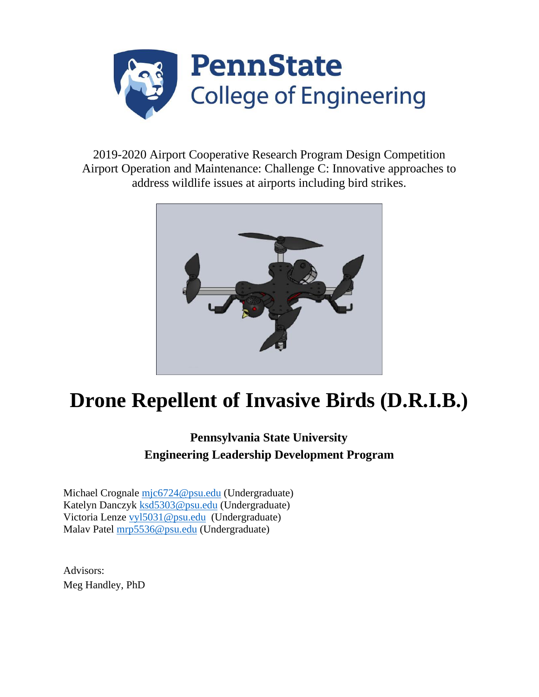

2019-2020 Airport Cooperative Research Program Design Competition Airport Operation and Maintenance: Challenge C: Innovative approaches to address wildlife issues at airports including bird strikes.



# **Drone Repellent of Invasive Birds (D.R.I.B.)**

# **Pennsylvania State University Engineering Leadership Development Program**

Michael Crognale [mjc6724@psu.edu](mailto:Mjc6724@psu.edu) (Undergraduate) Katelyn Danczyk [ksd5303@psu.edu](mailto:ksd5303@psu.edu) (Undergraduate) Victoria Lenze [vyl5031@psu.edu](mailto:vyl5031@psu.edu) (Undergraduate) Malav Patel [mrp5536@psu.edu](mailto:mrp5536@psu.edu) (Undergraduate)

Advisors: Meg Handley, PhD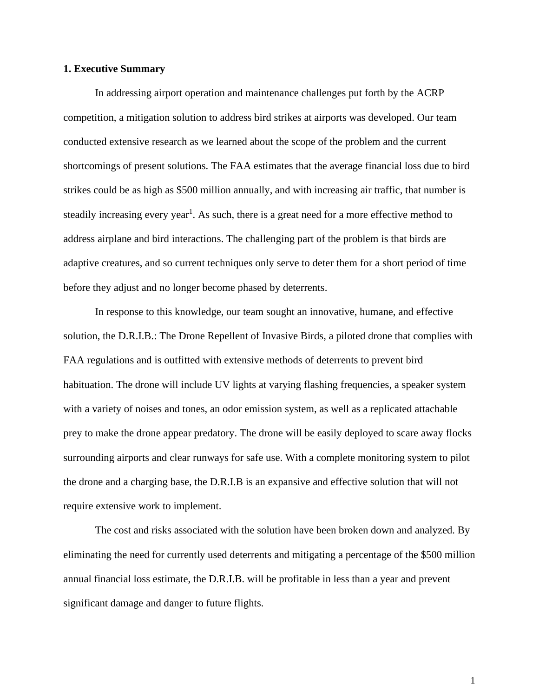## **1. Executive Summary**

In addressing airport operation and maintenance challenges put forth by the ACRP competition, a mitigation solution to address bird strikes at airports was developed. Our team conducted extensive research as we learned about the scope of the problem and the current shortcomings of present solutions. The FAA estimates that the average financial loss due to bird strikes could be as high as \$500 million annually, and with increasing air traffic, that number is steadily increasing every year<sup>1</sup>. As such, there is a great need for a more effective method to address airplane and bird interactions. The challenging part of the problem is that birds are adaptive creatures, and so current techniques only serve to deter them for a short period of time before they adjust and no longer become phased by deterrents.

In response to this knowledge, our team sought an innovative, humane, and effective solution, the D.R.I.B.: The Drone Repellent of Invasive Birds, a piloted drone that complies with FAA regulations and is outfitted with extensive methods of deterrents to prevent bird habituation. The drone will include UV lights at varying flashing frequencies, a speaker system with a variety of noises and tones, an odor emission system, as well as a replicated attachable prey to make the drone appear predatory. The drone will be easily deployed to scare away flocks surrounding airports and clear runways for safe use. With a complete monitoring system to pilot the drone and a charging base, the D.R.I.B is an expansive and effective solution that will not require extensive work to implement.

The cost and risks associated with the solution have been broken down and analyzed. By eliminating the need for currently used deterrents and mitigating a percentage of the \$500 million annual financial loss estimate, the D.R.I.B. will be profitable in less than a year and prevent significant damage and danger to future flights.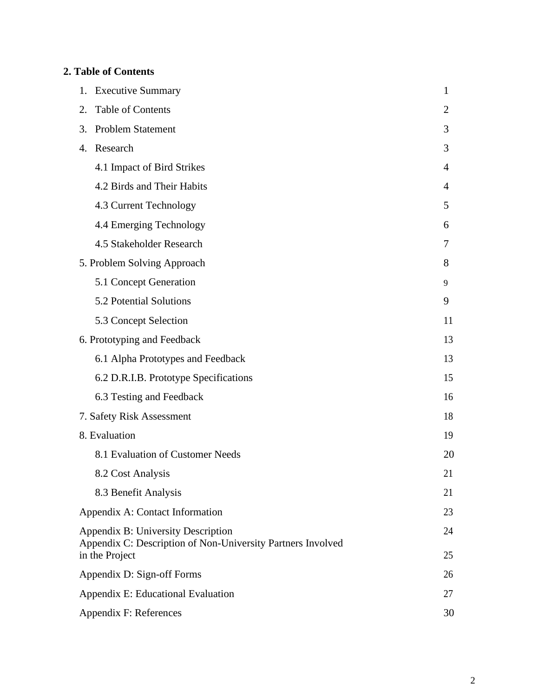## **2. Table of Contents**

| <b>Executive Summary</b><br>1.                                                                                      | 1              |
|---------------------------------------------------------------------------------------------------------------------|----------------|
| Table of Contents<br>2.                                                                                             | $\overline{2}$ |
| <b>Problem Statement</b><br>3.                                                                                      | 3              |
| Research<br>4.                                                                                                      | 3              |
| 4.1 Impact of Bird Strikes                                                                                          | 4              |
| 4.2 Birds and Their Habits                                                                                          | 4              |
| 4.3 Current Technology                                                                                              | 5              |
| 4.4 Emerging Technology                                                                                             | 6              |
| 4.5 Stakeholder Research                                                                                            | 7              |
| 5. Problem Solving Approach                                                                                         | 8              |
| 5.1 Concept Generation                                                                                              | 9              |
| 5.2 Potential Solutions                                                                                             | 9              |
| 5.3 Concept Selection                                                                                               | 11             |
| 6. Prototyping and Feedback                                                                                         | 13             |
| 6.1 Alpha Prototypes and Feedback                                                                                   | 13             |
| 6.2 D.R.I.B. Prototype Specifications                                                                               | 15             |
| 6.3 Testing and Feedback                                                                                            | 16             |
| 7. Safety Risk Assessment                                                                                           | 18             |
| 8. Evaluation                                                                                                       | 19             |
| 8.1 Evaluation of Customer Needs                                                                                    | 20             |
| 8.2 Cost Analysis                                                                                                   | 21             |
| 8.3 Benefit Analysis                                                                                                | 21             |
| Appendix A: Contact Information                                                                                     | 23             |
| Appendix B: University Description<br>Appendix C: Description of Non-University Partners Involved<br>in the Project | 24<br>25       |
| Appendix D: Sign-off Forms                                                                                          | 26             |
| Appendix E: Educational Evaluation                                                                                  | 27             |
| Appendix F: References                                                                                              | 30             |
|                                                                                                                     |                |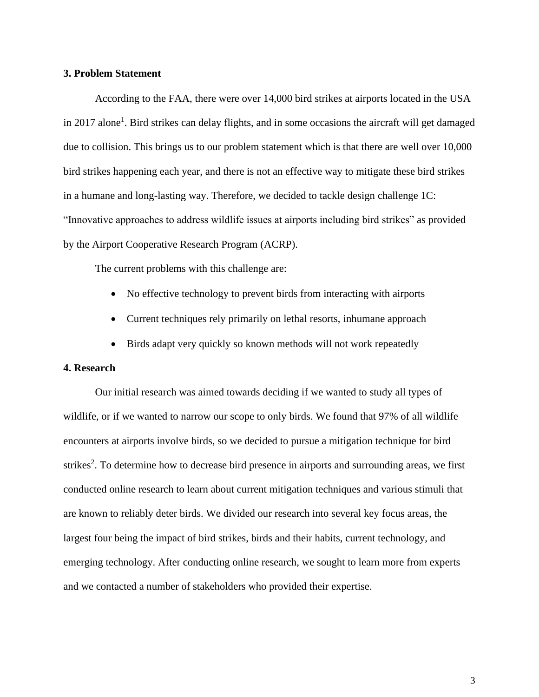## **3. Problem Statement**

According to the FAA, there were over 14,000 bird strikes at airports located in the USA in 2017 alone<sup>1</sup>. Bird strikes can delay flights, and in some occasions the aircraft will get damaged due to collision. This brings us to our problem statement which is that there are well over 10,000 bird strikes happening each year, and there is not an effective way to mitigate these bird strikes in a humane and long-lasting way. Therefore, we decided to tackle design challenge 1C: "Innovative approaches to address wildlife issues at airports including bird strikes" as provided by the Airport Cooperative Research Program (ACRP).

The current problems with this challenge are:

- No effective technology to prevent birds from interacting with airports
- Current techniques rely primarily on lethal resorts, inhumane approach
- Birds adapt very quickly so known methods will not work repeatedly

## **4. Research**

Our initial research was aimed towards deciding if we wanted to study all types of wildlife, or if we wanted to narrow our scope to only birds. We found that 97% of all wildlife encounters at airports involve birds, so we decided to pursue a mitigation technique for bird strikes<sup>2</sup>. To determine how to decrease bird presence in airports and surrounding areas, we first conducted online research to learn about current mitigation techniques and various stimuli that are known to reliably deter birds. We divided our research into several key focus areas, the largest four being the impact of bird strikes, birds and their habits, current technology, and emerging technology. After conducting online research, we sought to learn more from experts and we contacted a number of stakeholders who provided their expertise.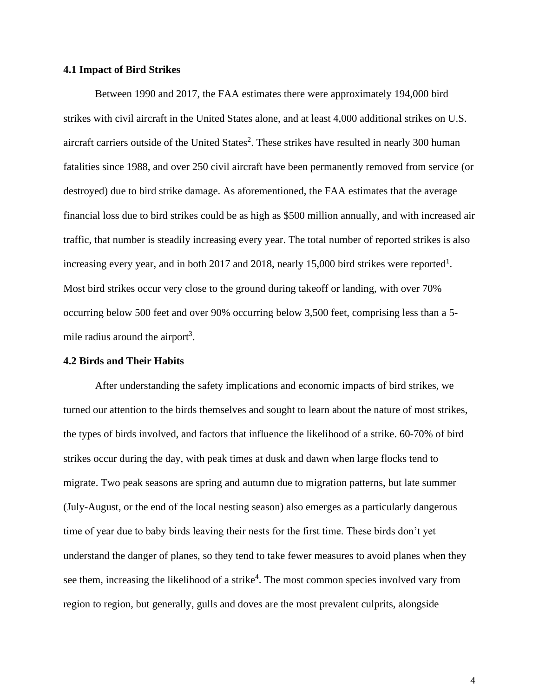## **4.1 Impact of Bird Strikes**

Between 1990 and 2017, the FAA estimates there were approximately 194,000 bird strikes with civil aircraft in the United States alone, and at least 4,000 additional strikes on U.S. aircraft carriers outside of the United States<sup>2</sup>. These strikes have resulted in nearly 300 human fatalities since 1988, and over 250 civil aircraft have been permanently removed from service (or destroyed) due to bird strike damage. As aforementioned, the FAA estimates that the average financial loss due to bird strikes could be as high as \$500 million annually, and with increased air traffic, that number is steadily increasing every year. The total number of reported strikes is also increasing every year, and in both 2017 and 2018, nearly 15,000 bird strikes were reported<sup>1</sup>. Most bird strikes occur very close to the ground during takeoff or landing, with over 70% occurring below 500 feet and over 90% occurring below 3,500 feet, comprising less than a 5 mile radius around the airport<sup>3</sup>.

#### **4.2 Birds and Their Habits**

After understanding the safety implications and economic impacts of bird strikes, we turned our attention to the birds themselves and sought to learn about the nature of most strikes, the types of birds involved, and factors that influence the likelihood of a strike. 60-70% of bird strikes occur during the day, with peak times at dusk and dawn when large flocks tend to migrate. Two peak seasons are spring and autumn due to migration patterns, but late summer (July-August, or the end of the local nesting season) also emerges as a particularly dangerous time of year due to baby birds leaving their nests for the first time. These birds don't yet understand the danger of planes, so they tend to take fewer measures to avoid planes when they see them, increasing the likelihood of a strike<sup>4</sup>. The most common species involved vary from region to region, but generally, gulls and doves are the most prevalent culprits, alongside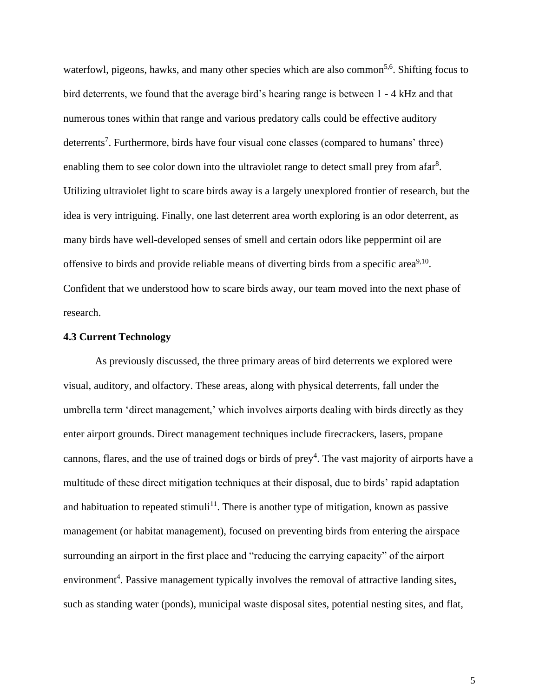waterfowl, pigeons, hawks, and many other species which are also common<sup>5,6</sup>. Shifting focus to bird deterrents, we found that the average bird's hearing range is between 1 - 4 kHz and that numerous tones within that range and various predatory calls could be effective auditory deterrents<sup>7</sup>. Furthermore, birds have four visual cone classes (compared to humans' three) enabling them to see color down into the ultraviolet range to detect small prey from afar<sup>8</sup>. Utilizing ultraviolet light to scare birds away is a largely unexplored frontier of research, but the idea is very intriguing. Finally, one last deterrent area worth exploring is an odor deterrent, as many birds have well-developed senses of smell and certain odors like peppermint oil are offensive to birds and provide reliable means of diverting birds from a specific area<sup>9,10</sup>. Confident that we understood how to scare birds away, our team moved into the next phase of research.

## **4.3 Current Technology**

As previously discussed, the three primary areas of bird deterrents we explored were visual, auditory, and olfactory. These areas, along with physical deterrents, fall under the umbrella term 'direct management,' which involves airports dealing with birds directly as they enter airport grounds. Direct management techniques include firecrackers, lasers, propane cannons, flares, and the use of trained dogs or birds of  $prey<sup>4</sup>$ . The vast majority of airports have a multitude of these direct mitigation techniques at their disposal, due to birds' rapid adaptation and habituation to repeated stimuli<sup>11</sup>. There is another type of mitigation, known as passive management (or habitat management), focused on preventing birds from entering the airspace surrounding an airport in the first place and "reducing the carrying capacity" of the airport environment<sup>4</sup>. Passive management typically involves the removal of attractive landing sites, such as standing water (ponds), municipal waste disposal sites, potential nesting sites, and flat,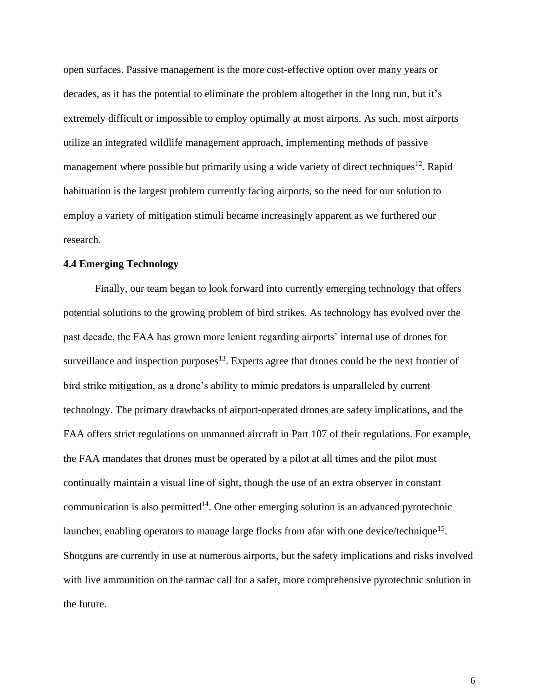open surfaces. Passive management is the more cost-effective option over many years or decades, as it has the potential to eliminate the problem altogether in the long run, but it's extremely difficult or impossible to employ optimally at most airports. As such, most airports utilize an integrated wildlife management approach, implementing methods of passive management where possible but primarily using a wide variety of direct techniques<sup>12</sup>. Rapid habituation is the largest problem currently facing airports, so the need for our solution to employ a variety of mitigation stimuli became increasingly apparent as we furthered our research.

## **4.4 Emerging Technology**

Finally, our team began to look forward into currently emerging technology that offers potential solutions to the growing problem of bird strikes. As technology has evolved over the past decade, the FAA has grown more lenient regarding airports' internal use of drones for surveillance and inspection purposes $13$ . Experts agree that drones could be the next frontier of bird strike mitigation, as a drone's ability to mimic predators is unparalleled by current technology. The primary drawbacks of airport-operated drones are safety implications, and the FAA offers strict regulations on unmanned aircraft in Part 107 of their regulations. For example, the FAA mandates that drones must be operated by a pilot at all times and the pilot must continually maintain a visual line of sight, though the use of an extra observer in constant communication is also permitted<sup>14</sup>. One other emerging solution is an advanced pyrotechnic launcher, enabling operators to manage large flocks from afar with one device/technique<sup>15</sup>. Shotguns are currently in use at numerous airports, but the safety implications and risks involved with live ammunition on the tarmac call for a safer, more comprehensive pyrotechnic solution in the future.

6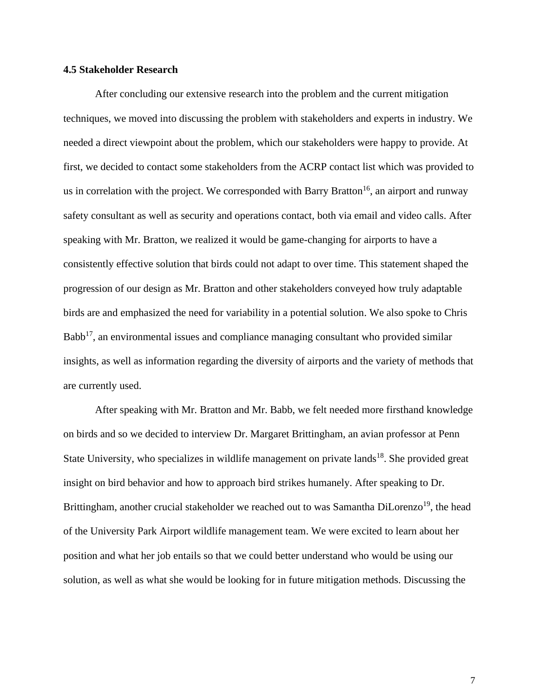## **4.5 Stakeholder Research**

After concluding our extensive research into the problem and the current mitigation techniques, we moved into discussing the problem with stakeholders and experts in industry. We needed a direct viewpoint about the problem, which our stakeholders were happy to provide. At first, we decided to contact some stakeholders from the ACRP contact list which was provided to us in correlation with the project. We corresponded with Barry Bratton<sup>16</sup>, an airport and runway safety consultant as well as security and operations contact, both via email and video calls. After speaking with Mr. Bratton, we realized it would be game-changing for airports to have a consistently effective solution that birds could not adapt to over time. This statement shaped the progression of our design as Mr. Bratton and other stakeholders conveyed how truly adaptable birds are and emphasized the need for variability in a potential solution. We also spoke to Chris  $Babb<sup>17</sup>$ , an environmental issues and compliance managing consultant who provided similar insights, as well as information regarding the diversity of airports and the variety of methods that are currently used.

After speaking with Mr. Bratton and Mr. Babb, we felt needed more firsthand knowledge on birds and so we decided to interview Dr. Margaret Brittingham, an avian professor at Penn State University, who specializes in wildlife management on private lands<sup>18</sup>. She provided great insight on bird behavior and how to approach bird strikes humanely. After speaking to Dr. Brittingham, another crucial stakeholder we reached out to was Samantha DiLorenzo<sup>19</sup>, the head of the University Park Airport wildlife management team. We were excited to learn about her position and what her job entails so that we could better understand who would be using our solution, as well as what she would be looking for in future mitigation methods. Discussing the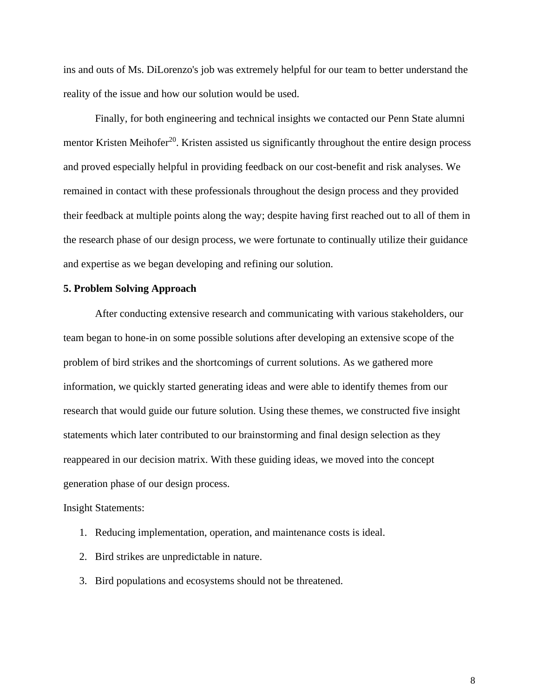ins and outs of Ms. DiLorenzo's job was extremely helpful for our team to better understand the reality of the issue and how our solution would be used.

Finally, for both engineering and technical insights we contacted our Penn State alumni mentor Kristen Meihofer<sup>20</sup>. Kristen assisted us significantly throughout the entire design process and proved especially helpful in providing feedback on our cost-benefit and risk analyses. We remained in contact with these professionals throughout the design process and they provided their feedback at multiple points along the way; despite having first reached out to all of them in the research phase of our design process, we were fortunate to continually utilize their guidance and expertise as we began developing and refining our solution.

## **5. Problem Solving Approach**

After conducting extensive research and communicating with various stakeholders, our team began to hone-in on some possible solutions after developing an extensive scope of the problem of bird strikes and the shortcomings of current solutions. As we gathered more information, we quickly started generating ideas and were able to identify themes from our research that would guide our future solution. Using these themes, we constructed five insight statements which later contributed to our brainstorming and final design selection as they reappeared in our decision matrix. With these guiding ideas, we moved into the concept generation phase of our design process.

Insight Statements:

- 1. Reducing implementation, operation, and maintenance costs is ideal.
- 2. Bird strikes are unpredictable in nature.
- 3. Bird populations and ecosystems should not be threatened.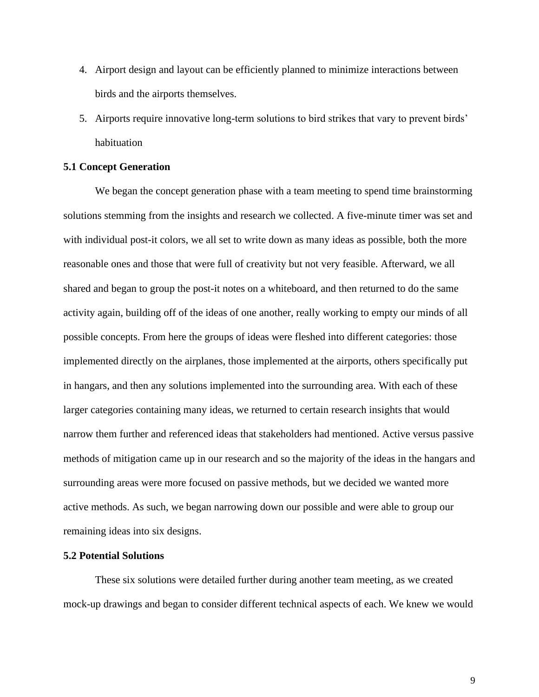- 4. Airport design and layout can be efficiently planned to minimize interactions between birds and the airports themselves.
- 5. Airports require innovative long-term solutions to bird strikes that vary to prevent birds' habituation

## **5.1 Concept Generation**

We began the concept generation phase with a team meeting to spend time brainstorming solutions stemming from the insights and research we collected. A five-minute timer was set and with individual post-it colors, we all set to write down as many ideas as possible, both the more reasonable ones and those that were full of creativity but not very feasible. Afterward, we all shared and began to group the post-it notes on a whiteboard, and then returned to do the same activity again, building off of the ideas of one another, really working to empty our minds of all possible concepts. From here the groups of ideas were fleshed into different categories: those implemented directly on the airplanes, those implemented at the airports, others specifically put in hangars, and then any solutions implemented into the surrounding area. With each of these larger categories containing many ideas, we returned to certain research insights that would narrow them further and referenced ideas that stakeholders had mentioned. Active versus passive methods of mitigation came up in our research and so the majority of the ideas in the hangars and surrounding areas were more focused on passive methods, but we decided we wanted more active methods. As such, we began narrowing down our possible and were able to group our remaining ideas into six designs.

## **5.2 Potential Solutions**

These six solutions were detailed further during another team meeting, as we created mock-up drawings and began to consider different technical aspects of each. We knew we would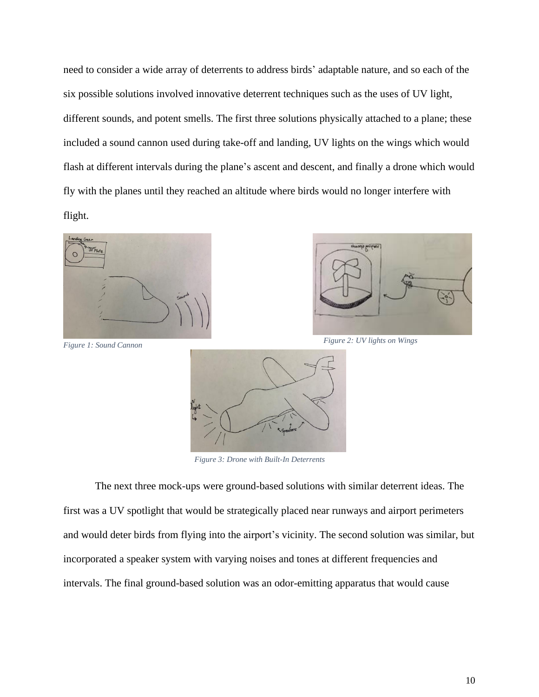need to consider a wide array of deterrents to address birds' adaptable nature, and so each of the six possible solutions involved innovative deterrent techniques such as the uses of UV light, different sounds, and potent smells. The first three solutions physically attached to a plane; these included a sound cannon used during take-off and landing, UV lights on the wings which would flash at different intervals during the plane's ascent and descent, and finally a drone which would fly with the planes until they reached an altitude where birds would no longer interfere with flight.







*Figure 3: Drone with Built-In Deterrents*

The next three mock-ups were ground-based solutions with similar deterrent ideas. The first was a UV spotlight that would be strategically placed near runways and airport perimeters and would deter birds from flying into the airport's vicinity. The second solution was similar, but incorporated a speaker system with varying noises and tones at different frequencies and intervals. The final ground-based solution was an odor-emitting apparatus that would cause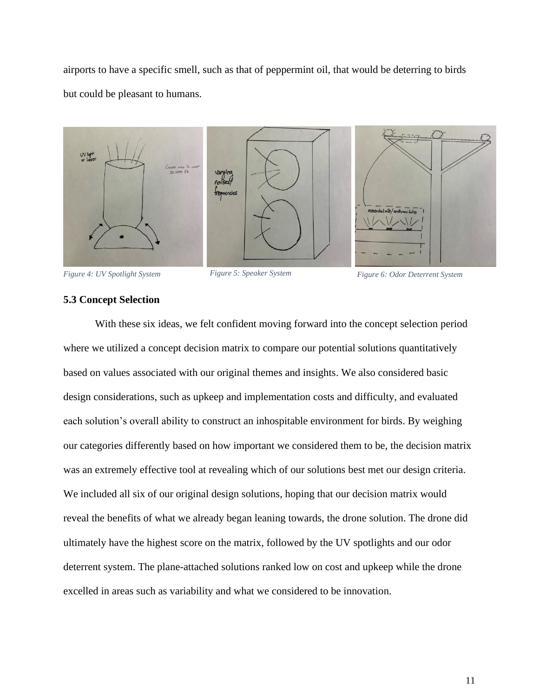airports to have a specific smell, such as that of peppermint oil, that would be deterring to birds but could be pleasant to humans.



*Figure 4: UV Spotlight System Figure 5: Speaker System Figure 6: Odor Deterrent System*

## **5.3 Concept Selection**

With these six ideas, we felt confident moving forward into the concept selection period where we utilized a concept decision matrix to compare our potential solutions quantitatively based on values associated with our original themes and insights. We also considered basic design considerations, such as upkeep and implementation costs and difficulty, and evaluated each solution's overall ability to construct an inhospitable environment for birds. By weighing our categories differently based on how important we considered them to be, the decision matrix was an extremely effective tool at revealing which of our solutions best met our design criteria. We included all six of our original design solutions, hoping that our decision matrix would reveal the benefits of what we already began leaning towards, the drone solution. The drone did ultimately have the highest score on the matrix, followed by the UV spotlights and our odor deterrent system. The plane-attached solutions ranked low on cost and upkeep while the drone excelled in areas such as variability and what we considered to be innovation.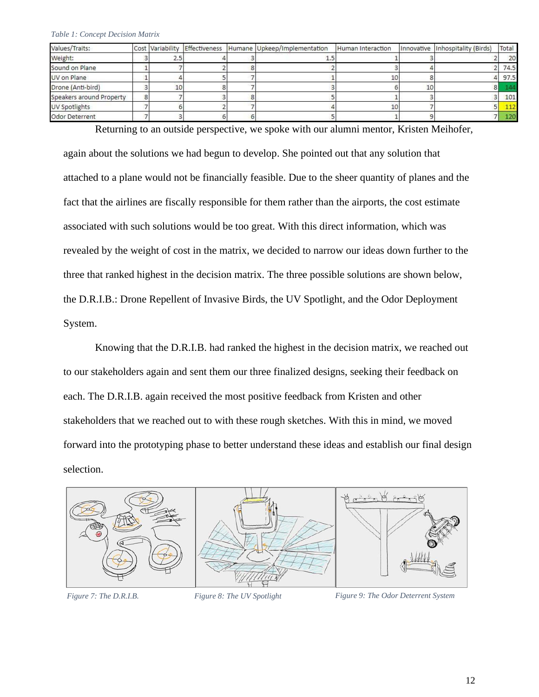| Values/Traits:           |     |  | Cost Variability Effectiveness Humane Upkeep/Implementation | Human Interaction | Innovative Inhospitality (Birds) | Total |
|--------------------------|-----|--|-------------------------------------------------------------|-------------------|----------------------------------|-------|
| Weight:                  | 2.5 |  |                                                             |                   |                                  | 20    |
| Sound on Plane           |     |  |                                                             |                   |                                  | 74.5  |
| UV on Plane              |     |  |                                                             |                   |                                  | 97.5  |
| Drone (Anti-bird)        |     |  |                                                             |                   |                                  | 144   |
| Speakers around Property |     |  |                                                             |                   |                                  | 101   |
| UV Spotlights            |     |  |                                                             |                   |                                  | 112   |
| Odor Deterrent           |     |  |                                                             |                   |                                  | 120   |

Returning to an outside perspective, we spoke with our alumni mentor, Kristen Meihofer,

again about the solutions we had begun to develop. She pointed out that any solution that attached to a plane would not be financially feasible. Due to the sheer quantity of planes and the fact that the airlines are fiscally responsible for them rather than the airports, the cost estimate associated with such solutions would be too great. With this direct information, which was revealed by the weight of cost in the matrix, we decided to narrow our ideas down further to the three that ranked highest in the decision matrix. The three possible solutions are shown below, the D.R.I.B.: Drone Repellent of Invasive Birds, the UV Spotlight, and the Odor Deployment System.

Knowing that the D.R.I.B. had ranked the highest in the decision matrix, we reached out to our stakeholders again and sent them our three finalized designs, seeking their feedback on each. The D.R.I.B. again received the most positive feedback from Kristen and other stakeholders that we reached out to with these rough sketches. With this in mind, we moved forward into the prototyping phase to better understand these ideas and establish our final design selection.



*Figure 7: The D.R.I.B. Figure 8: The UV Spotlight Figure 9: The Odor Deterrent System*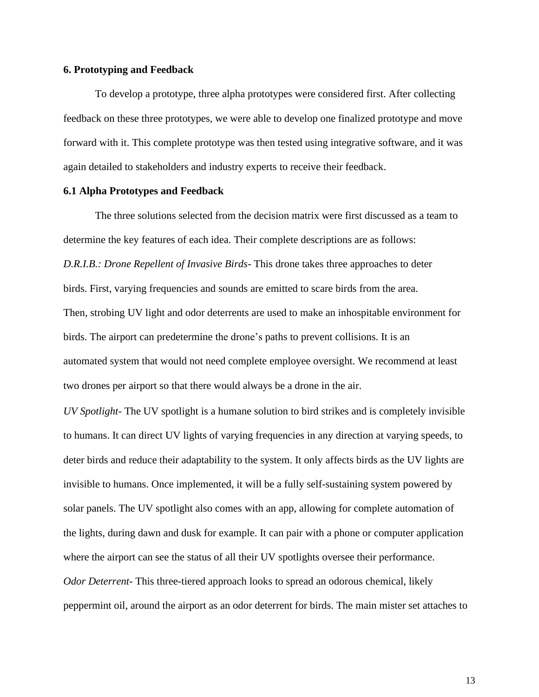## **6. Prototyping and Feedback**

To develop a prototype, three alpha prototypes were considered first. After collecting feedback on these three prototypes, we were able to develop one finalized prototype and move forward with it. This complete prototype was then tested using integrative software, and it was again detailed to stakeholders and industry experts to receive their feedback.

#### **6.1 Alpha Prototypes and Feedback**

The three solutions selected from the decision matrix were first discussed as a team to determine the key features of each idea. Their complete descriptions are as follows: *D.R.I.B.: Drone Repellent of Invasive Birds*- This drone takes three approaches to deter birds. First, varying frequencies and sounds are emitted to scare birds from the area. Then, strobing UV light and odor deterrents are used to make an inhospitable environment for birds. The airport can predetermine the drone's paths to prevent collisions. It is an automated system that would not need complete employee oversight. We recommend at least two drones per airport so that there would always be a drone in the air.

*UV Spotlight*- The UV spotlight is a humane solution to bird strikes and is completely invisible to humans. It can direct UV lights of varying frequencies in any direction at varying speeds, to deter birds and reduce their adaptability to the system. It only affects birds as the UV lights are invisible to humans. Once implemented, it will be a fully self-sustaining system powered by solar panels. The UV spotlight also comes with an app, allowing for complete automation of the lights, during dawn and dusk for example. It can pair with a phone or computer application where the airport can see the status of all their UV spotlights oversee their performance. *Odor Deterrent*- This three-tiered approach looks to spread an odorous chemical, likely peppermint oil, around the airport as an odor deterrent for birds. The main mister set attaches to

13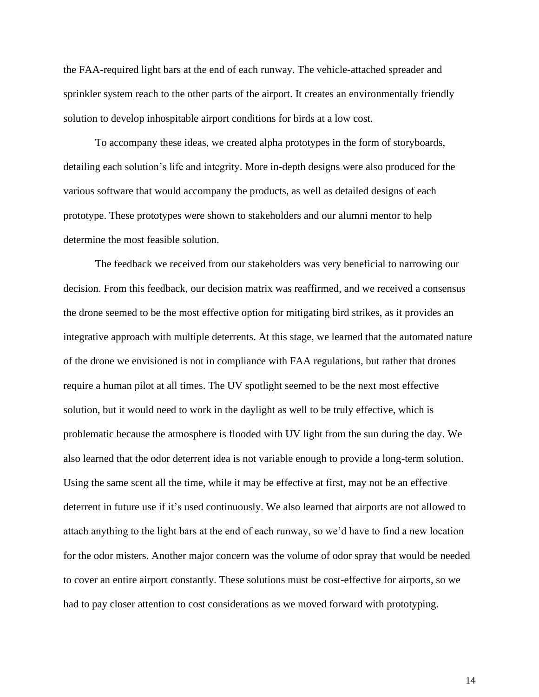the FAA-required light bars at the end of each runway. The vehicle-attached spreader and sprinkler system reach to the other parts of the airport. It creates an environmentally friendly solution to develop inhospitable airport conditions for birds at a low cost.

To accompany these ideas, we created alpha prototypes in the form of storyboards, detailing each solution's life and integrity. More in-depth designs were also produced for the various software that would accompany the products, as well as detailed designs of each prototype. These prototypes were shown to stakeholders and our alumni mentor to help determine the most feasible solution.

The feedback we received from our stakeholders was very beneficial to narrowing our decision. From this feedback, our decision matrix was reaffirmed, and we received a consensus the drone seemed to be the most effective option for mitigating bird strikes, as it provides an integrative approach with multiple deterrents. At this stage, we learned that the automated nature of the drone we envisioned is not in compliance with FAA regulations, but rather that drones require a human pilot at all times. The UV spotlight seemed to be the next most effective solution, but it would need to work in the daylight as well to be truly effective, which is problematic because the atmosphere is flooded with UV light from the sun during the day. We also learned that the odor deterrent idea is not variable enough to provide a long-term solution. Using the same scent all the time, while it may be effective at first, may not be an effective deterrent in future use if it's used continuously. We also learned that airports are not allowed to attach anything to the light bars at the end of each runway, so we'd have to find a new location for the odor misters. Another major concern was the volume of odor spray that would be needed to cover an entire airport constantly. These solutions must be cost-effective for airports, so we had to pay closer attention to cost considerations as we moved forward with prototyping.

14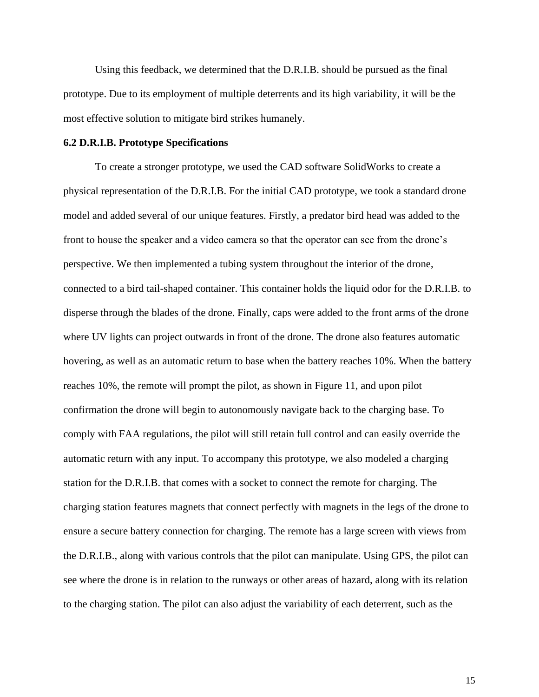Using this feedback, we determined that the D.R.I.B. should be pursued as the final prototype. Due to its employment of multiple deterrents and its high variability, it will be the most effective solution to mitigate bird strikes humanely.

#### **6.2 D.R.I.B. Prototype Specifications**

To create a stronger prototype, we used the CAD software SolidWorks to create a physical representation of the D.R.I.B. For the initial CAD prototype, we took a standard drone model and added several of our unique features. Firstly, a predator bird head was added to the front to house the speaker and a video camera so that the operator can see from the drone's perspective. We then implemented a tubing system throughout the interior of the drone, connected to a bird tail-shaped container. This container holds the liquid odor for the D.R.I.B. to disperse through the blades of the drone. Finally, caps were added to the front arms of the drone where UV lights can project outwards in front of the drone. The drone also features automatic hovering, as well as an automatic return to base when the battery reaches 10%. When the battery reaches 10%, the remote will prompt the pilot, as shown in Figure 11, and upon pilot confirmation the drone will begin to autonomously navigate back to the charging base. To comply with FAA regulations, the pilot will still retain full control and can easily override the automatic return with any input. To accompany this prototype, we also modeled a charging station for the D.R.I.B. that comes with a socket to connect the remote for charging. The charging station features magnets that connect perfectly with magnets in the legs of the drone to ensure a secure battery connection for charging. The remote has a large screen with views from the D.R.I.B., along with various controls that the pilot can manipulate. Using GPS, the pilot can see where the drone is in relation to the runways or other areas of hazard, along with its relation to the charging station. The pilot can also adjust the variability of each deterrent, such as the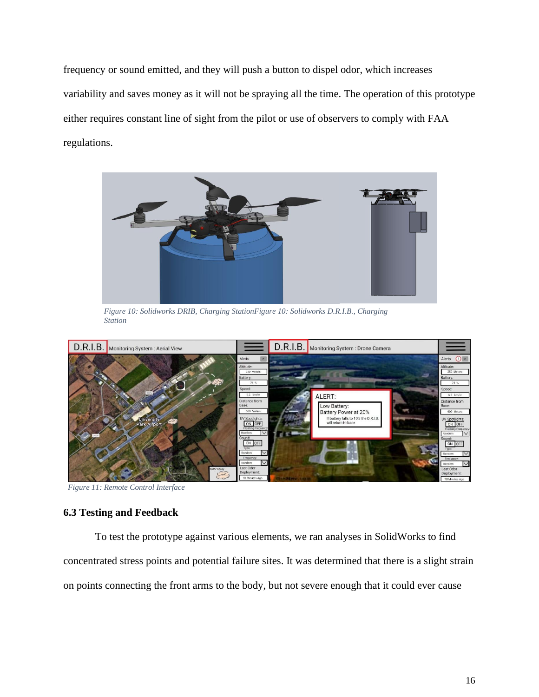frequency or sound emitted, and they will push a button to dispel odor, which increases variability and saves money as it will not be spraying all the time. The operation of this prototype either requires constant line of sight from the pilot or use of observers to comply with FAA regulations.



*Figure 10: Solidworks DRIB, Charging StationFigure 10: Solidworks D.R.I.B., Charging Station*



*Figure 11: Remote Control Interface*

## **6.3 Testing and Feedback**

To test the prototype against various elements, we ran analyses in SolidWorks to find concentrated stress points and potential failure sites. It was determined that there is a slight strain on points connecting the front arms to the body, but not severe enough that it could ever cause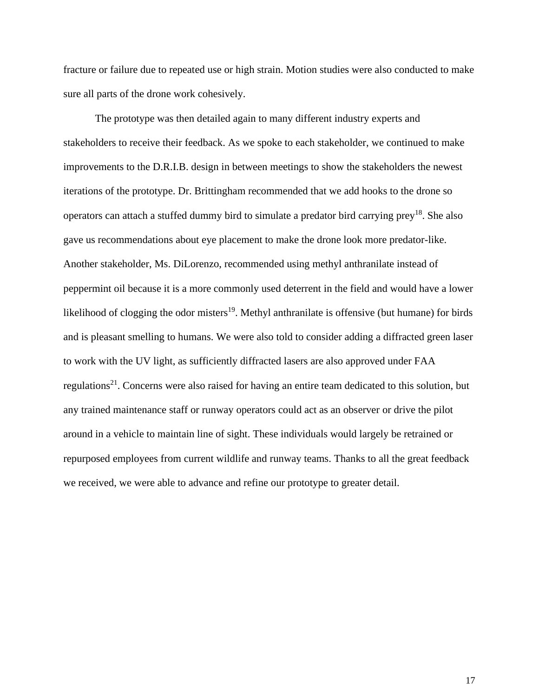fracture or failure due to repeated use or high strain. Motion studies were also conducted to make sure all parts of the drone work cohesively.

The prototype was then detailed again to many different industry experts and stakeholders to receive their feedback. As we spoke to each stakeholder, we continued to make improvements to the D.R.I.B. design in between meetings to show the stakeholders the newest iterations of the prototype. Dr. Brittingham recommended that we add hooks to the drone so operators can attach a stuffed dummy bird to simulate a predator bird carrying prey<sup>18</sup>. She also gave us recommendations about eye placement to make the drone look more predator-like. Another stakeholder, Ms. DiLorenzo, recommended using methyl anthranilate instead of peppermint oil because it is a more commonly used deterrent in the field and would have a lower likelihood of clogging the odor misters<sup>19</sup>. Methyl anthranilate is offensive (but humane) for birds and is pleasant smelling to humans. We were also told to consider adding a diffracted green laser to work with the UV light, as sufficiently diffracted lasers are also approved under FAA regulations<sup>21</sup>. Concerns were also raised for having an entire team dedicated to this solution, but any trained maintenance staff or runway operators could act as an observer or drive the pilot around in a vehicle to maintain line of sight. These individuals would largely be retrained or repurposed employees from current wildlife and runway teams. Thanks to all the great feedback we received, we were able to advance and refine our prototype to greater detail.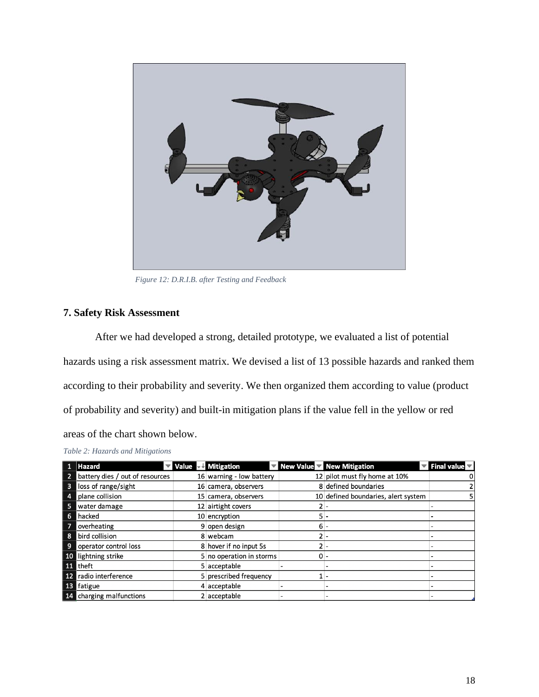

*Figure 12: D.R.I.B. after Testing and Feedback*

## **7. Safety Risk Assessment**

After we had developed a strong, detailed prototype, we evaluated a list of potential hazards using a risk assessment matrix. We devised a list of 13 possible hazards and ranked them according to their probability and severity. We then organized them according to value (product of probability and severity) and built-in mitigation plans if the value fell in the yellow or red areas of the chart shown below.

| able 2: Hazards and Mitigations |                                                            |       |                                                                      |                                                       |
|---------------------------------|------------------------------------------------------------|-------|----------------------------------------------------------------------|-------------------------------------------------------|
| <b>Hazard</b>                   | $\blacktriangledown$ Value $\blacktriangledown$ Mitigation |       | $\blacktriangleright$ New Value $\blacktriangleright$ New Mitigation | $\blacktriangledown$ Final value $\blacktriangledown$ |
| battery dies / out of resources | 16 warning - low battery                                   |       | 12 pilot must fly home at 10%                                        | 0                                                     |
| loss of range/sight             | 16 camera, observers                                       |       | 8 defined boundaries                                                 | 2                                                     |
| plane collision                 | 15 camera, observers                                       |       | 10 defined boundaries, alert system                                  | 5                                                     |
| water damage                    | 12 airtight covers                                         | 2     |                                                                      |                                                       |
| hacked                          | 10 encryption                                              | 5 -   |                                                                      |                                                       |
| overheating                     | 9 open design                                              | $6 -$ |                                                                      |                                                       |
| bird collision                  | 8 webcam                                                   | $2 -$ |                                                                      |                                                       |
| operator control loss           | 8 hover if no input 5s                                     | 2     |                                                                      |                                                       |
| lightning strike                | 5 no operation in storms                                   | $0 -$ |                                                                      |                                                       |
| theft                           | 5 acceptable                                               |       |                                                                      |                                                       |
| radio interference              | 5 prescribed frequency                                     |       |                                                                      |                                                       |
| fatigue                         | 4 acceptable                                               |       |                                                                      |                                                       |
| charging malfunctions           | 2 acceptable                                               |       |                                                                      |                                                       |

*Table 2: Hazards and Mitigations*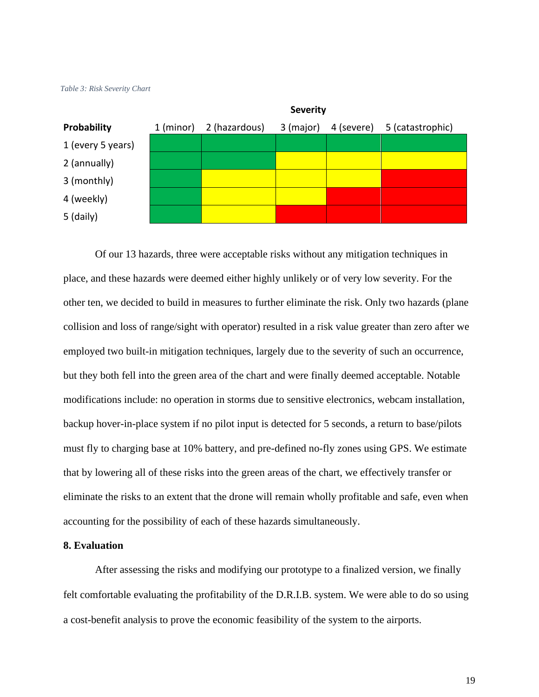



Of our 13 hazards, three were acceptable risks without any mitigation techniques in place, and these hazards were deemed either highly unlikely or of very low severity. For the other ten, we decided to build in measures to further eliminate the risk. Only two hazards (plane collision and loss of range/sight with operator) resulted in a risk value greater than zero after we employed two built-in mitigation techniques, largely due to the severity of such an occurrence, but they both fell into the green area of the chart and were finally deemed acceptable. Notable modifications include: no operation in storms due to sensitive electronics, webcam installation, backup hover-in-place system if no pilot input is detected for 5 seconds, a return to base/pilots must fly to charging base at 10% battery, and pre-defined no-fly zones using GPS. We estimate that by lowering all of these risks into the green areas of the chart, we effectively transfer or eliminate the risks to an extent that the drone will remain wholly profitable and safe, even when accounting for the possibility of each of these hazards simultaneously.

#### **8. Evaluation**

After assessing the risks and modifying our prototype to a finalized version, we finally felt comfortable evaluating the profitability of the D.R.I.B. system. We were able to do so using a cost-benefit analysis to prove the economic feasibility of the system to the airports.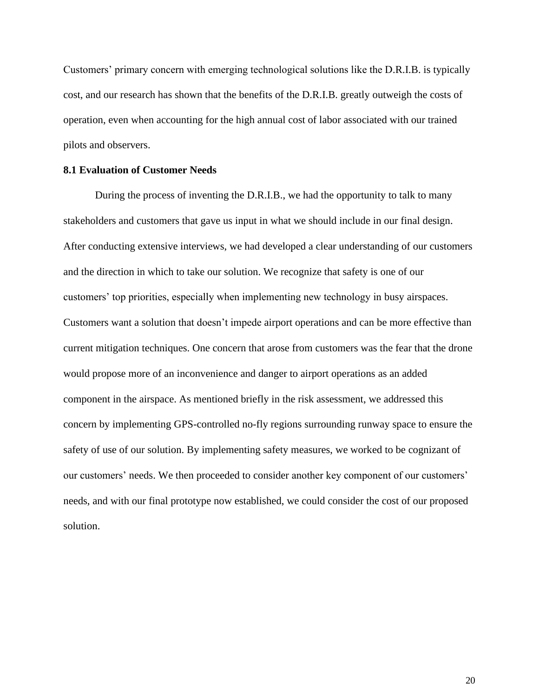Customers' primary concern with emerging technological solutions like the D.R.I.B. is typically cost, and our research has shown that the benefits of the D.R.I.B. greatly outweigh the costs of operation, even when accounting for the high annual cost of labor associated with our trained pilots and observers.

#### **8.1 Evaluation of Customer Needs**

During the process of inventing the D.R.I.B., we had the opportunity to talk to many stakeholders and customers that gave us input in what we should include in our final design. After conducting extensive interviews, we had developed a clear understanding of our customers and the direction in which to take our solution. We recognize that safety is one of our customers' top priorities, especially when implementing new technology in busy airspaces. Customers want a solution that doesn't impede airport operations and can be more effective than current mitigation techniques. One concern that arose from customers was the fear that the drone would propose more of an inconvenience and danger to airport operations as an added component in the airspace. As mentioned briefly in the risk assessment, we addressed this concern by implementing GPS-controlled no-fly regions surrounding runway space to ensure the safety of use of our solution. By implementing safety measures, we worked to be cognizant of our customers' needs. We then proceeded to consider another key component of our customers' needs, and with our final prototype now established, we could consider the cost of our proposed solution.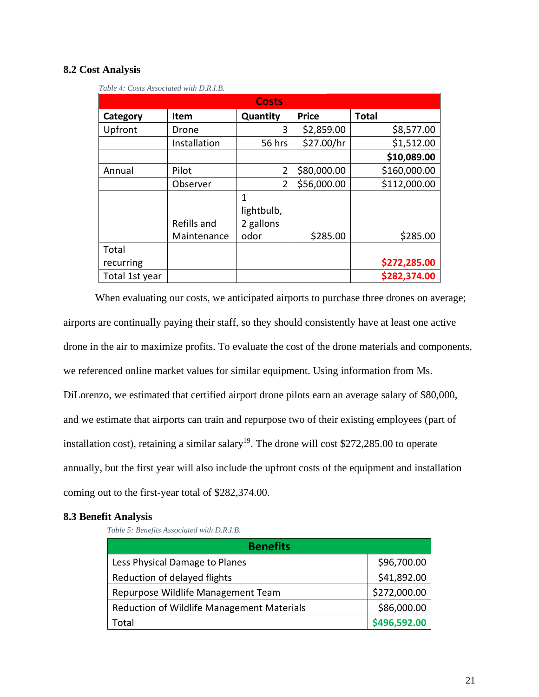## **8.2 Cost Analysis**

| <b>Costs</b>   |              |            |              |              |  |  |  |  |
|----------------|--------------|------------|--------------|--------------|--|--|--|--|
| Category       | Item         | Quantity   | <b>Price</b> | <b>Total</b> |  |  |  |  |
| Upfront        | Drone        | 3          | \$2,859.00   | \$8,577.00   |  |  |  |  |
|                | Installation | 56 hrs     | \$27.00/hr   | \$1,512.00   |  |  |  |  |
|                |              |            |              | \$10,089.00  |  |  |  |  |
| Annual         | Pilot        | 2          | \$80,000.00  | \$160,000.00 |  |  |  |  |
|                | Observer     | 2          | \$56,000.00  | \$112,000.00 |  |  |  |  |
|                |              | 1          |              |              |  |  |  |  |
|                |              | lightbulb, |              |              |  |  |  |  |
|                | Refills and  | 2 gallons  |              |              |  |  |  |  |
|                | Maintenance  | odor       | \$285.00     | \$285.00     |  |  |  |  |
| Total          |              |            |              |              |  |  |  |  |
| recurring      |              |            |              | \$272,285.00 |  |  |  |  |
| Total 1st year |              |            |              | \$282,374.00 |  |  |  |  |

*Table 4: Costs Associated with D.R.I.B.*

When evaluating our costs, we anticipated airports to purchase three drones on average; airports are continually paying their staff, so they should consistently have at least one active drone in the air to maximize profits. To evaluate the cost of the drone materials and components, we referenced online market values for similar equipment. Using information from Ms. DiLorenzo, we estimated that certified airport drone pilots earn an average salary of \$80,000, and we estimate that airports can train and repurpose two of their existing employees (part of installation cost), retaining a similar salary<sup>19</sup>. The drone will cost \$272,285.00 to operate annually, but the first year will also include the upfront costs of the equipment and installation coming out to the first-year total of \$282,374.00.

## **8.3 Benefit Analysis**

*Table 5: Benefits Associated with D.R.I.B.*

| <b>Benefits</b>                            |              |
|--------------------------------------------|--------------|
| Less Physical Damage to Planes             | \$96,700.00  |
| Reduction of delayed flights               | \$41,892.00  |
| Repurpose Wildlife Management Team         | \$272,000.00 |
| Reduction of Wildlife Management Materials | \$86,000.00  |
| Total                                      | \$496,592.00 |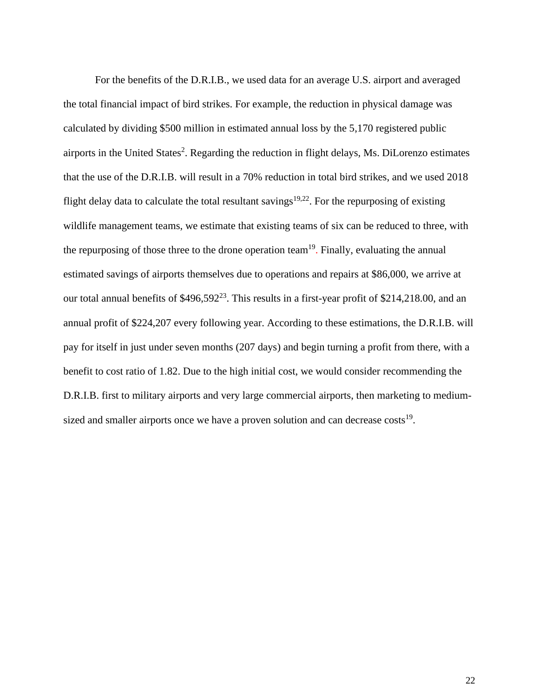For the benefits of the D.R.I.B., we used data for an average U.S. airport and averaged the total financial impact of bird strikes. For example, the reduction in physical damage was calculated by dividing \$500 million in estimated annual loss by the 5,170 registered public airports in the United States<sup>2</sup>. Regarding the reduction in flight delays, Ms. DiLorenzo estimates that the use of the D.R.I.B. will result in a 70% reduction in total bird strikes, and we used 2018 flight delay data to calculate the total resultant savings<sup>19,22</sup>. For the repurposing of existing wildlife management teams, we estimate that existing teams of six can be reduced to three, with the repurposing of those three to the drone operation team<sup>19</sup>. Finally, evaluating the annual estimated savings of airports themselves due to operations and repairs at \$86,000, we arrive at our total annual benefits of \$496,592<sup>23</sup>. This results in a first-year profit of \$214,218.00, and an annual profit of \$224,207 every following year. According to these estimations, the D.R.I.B. will pay for itself in just under seven months (207 days) and begin turning a profit from there, with a benefit to cost ratio of 1.82. Due to the high initial cost, we would consider recommending the D.R.I.B. first to military airports and very large commercial airports, then marketing to mediumsized and smaller airports once we have a proven solution and can decrease  $costs<sup>19</sup>$ .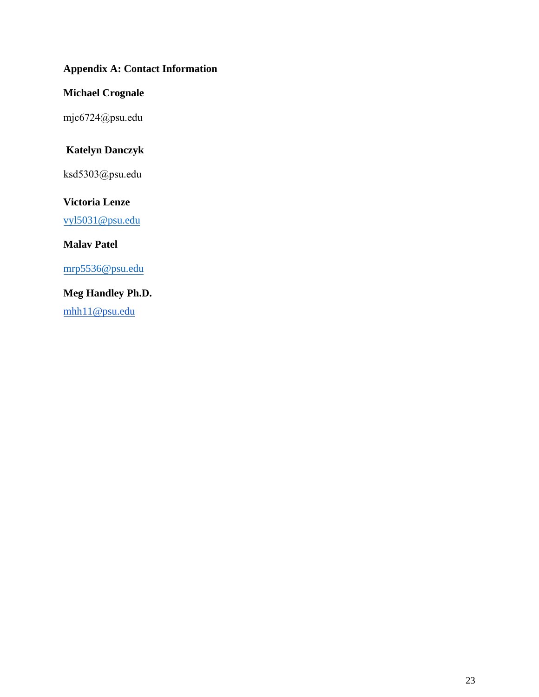## **Appendix A: Contact Information**

## **Michael Crognale**

mjc6724@psu.edu

# **Katelyn Danczyk**

ksd5303@psu.edu

## **[Victoria Lenze](mailto:Mjc6724@psu.edu)**

vyl5031@psu.edu

## **Malav Patel**

mrp5536@psu.edu

# **Meg Handley Ph.D.**

[mhh11@psu.edu](mailto:ksd5303@psu.edu)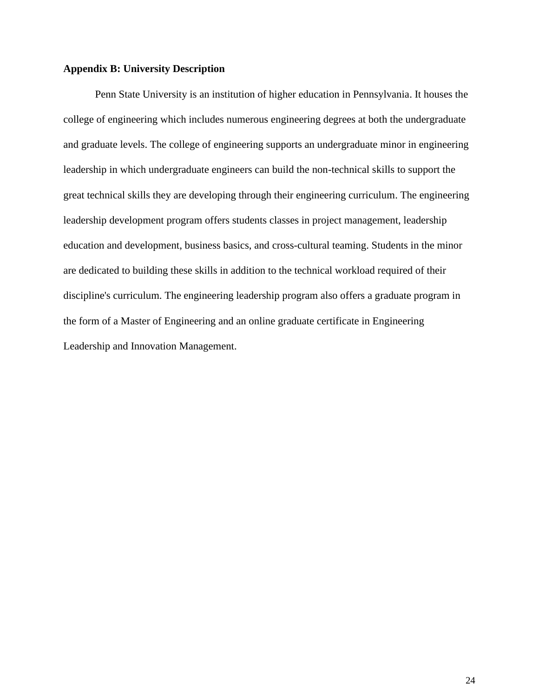## **Appendix B: University Description**

Penn State University is an institution of higher education in Pennsylvania. It houses the college of engineering which includes numerous engineering degrees at both the undergraduate and graduate levels. The college of engineering supports an undergraduate minor in engineering leadership in which undergraduate engineers can build the non-technical skills to support the great technical skills they are developing through their engineering curriculum. The engineering leadership development program offers students classes in project management, leadership education and development, business basics, and cross-cultural teaming. Students in the minor are dedicated to building these skills in addition to the technical workload required of their discipline's curriculum. The engineering leadership program also offers a graduate program in the form of a Master of Engineering and an online graduate certificate in Engineering Leadership and Innovation Management.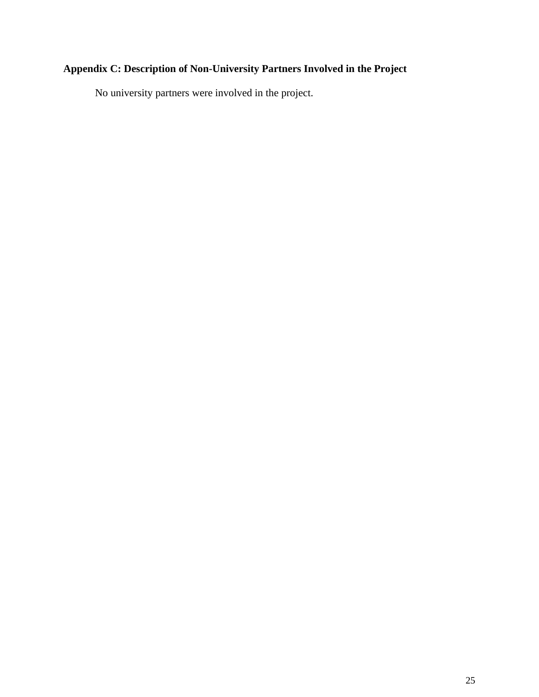# **Appendix C: Description of Non-University Partners Involved in the Project**

No university partners were involved in the project.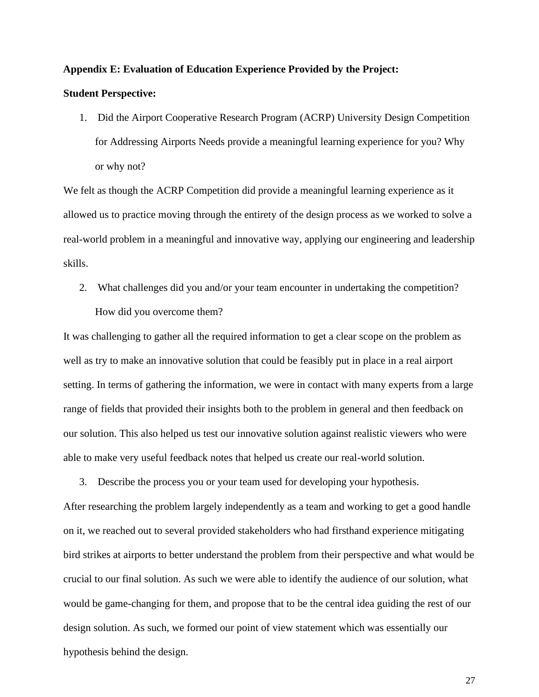## **Appendix E: Evaluation of Education Experience Provided by the Project:**

#### **Student Perspective:**

1. Did the Airport Cooperative Research Program (ACRP) University Design Competition for Addressing Airports Needs provide a meaningful learning experience for you? Why or why not?

We felt as though the ACRP Competition did provide a meaningful learning experience as it allowed us to practice moving through the entirety of the design process as we worked to solve a real-world problem in a meaningful and innovative way, applying our engineering and leadership skills.

2. What challenges did you and/or your team encounter in undertaking the competition? How did you overcome them?

It was challenging to gather all the required information to get a clear scope on the problem as well as try to make an innovative solution that could be feasibly put in place in a real airport setting. In terms of gathering the information, we were in contact with many experts from a large range of fields that provided their insights both to the problem in general and then feedback on our solution. This also helped us test our innovative solution against realistic viewers who were able to make very useful feedback notes that helped us create our real-world solution.

3. Describe the process you or your team used for developing your hypothesis.

After researching the problem largely independently as a team and working to get a good handle on it, we reached out to several provided stakeholders who had firsthand experience mitigating bird strikes at airports to better understand the problem from their perspective and what would be crucial to our final solution. As such we were able to identify the audience of our solution, what would be game-changing for them, and propose that to be the central idea guiding the rest of our design solution. As such, we formed our point of view statement which was essentially our hypothesis behind the design.

27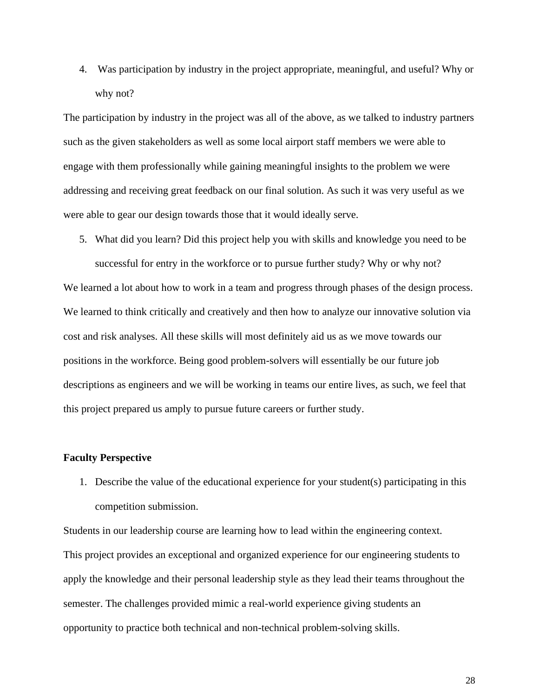4. Was participation by industry in the project appropriate, meaningful, and useful? Why or why not?

The participation by industry in the project was all of the above, as we talked to industry partners such as the given stakeholders as well as some local airport staff members we were able to engage with them professionally while gaining meaningful insights to the problem we were addressing and receiving great feedback on our final solution. As such it was very useful as we were able to gear our design towards those that it would ideally serve.

5. What did you learn? Did this project help you with skills and knowledge you need to be

successful for entry in the workforce or to pursue further study? Why or why not? We learned a lot about how to work in a team and progress through phases of the design process. We learned to think critically and creatively and then how to analyze our innovative solution via cost and risk analyses. All these skills will most definitely aid us as we move towards our positions in the workforce. Being good problem-solvers will essentially be our future job descriptions as engineers and we will be working in teams our entire lives, as such, we feel that this project prepared us amply to pursue future careers or further study.

## **Faculty Perspective**

1. Describe the value of the educational experience for your student(s) participating in this competition submission.

Students in our leadership course are learning how to lead within the engineering context. This project provides an exceptional and organized experience for our engineering students to apply the knowledge and their personal leadership style as they lead their teams throughout the semester. The challenges provided mimic a real-world experience giving students an opportunity to practice both technical and non-technical problem-solving skills.

28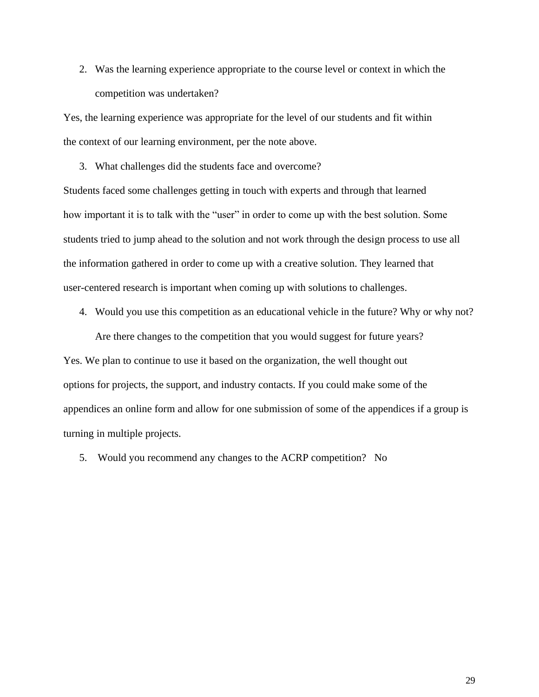2. Was the learning experience appropriate to the course level or context in which the competition was undertaken?

Yes, the learning experience was appropriate for the level of our students and fit within the context of our learning environment, per the note above.

3. What challenges did the students face and overcome?

Students faced some challenges getting in touch with experts and through that learned how important it is to talk with the "user" in order to come up with the best solution. Some students tried to jump ahead to the solution and not work through the design process to use all the information gathered in order to come up with a creative solution. They learned that user-centered research is important when coming up with solutions to challenges.

4. Would you use this competition as an educational vehicle in the future? Why or why not?

Are there changes to the competition that you would suggest for future years? Yes. We plan to continue to use it based on the organization, the well thought out options for projects, the support, and industry contacts. If you could make some of the appendices an online form and allow for one submission of some of the appendices if a group is turning in multiple projects.

5. Would you recommend any changes to the ACRP competition? No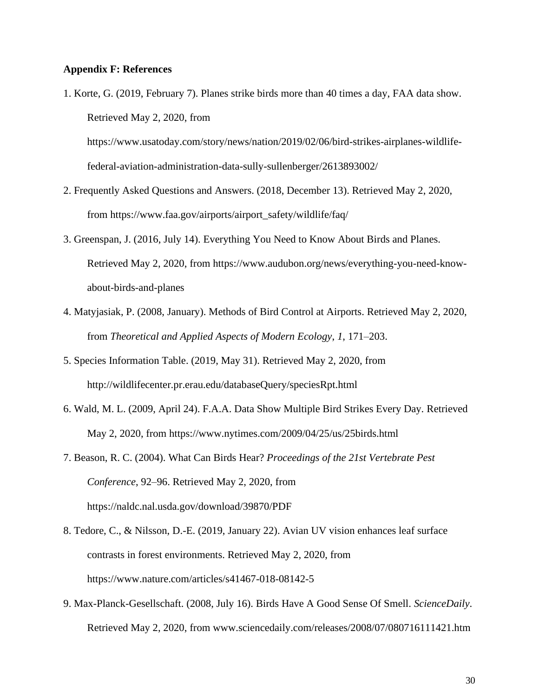## **Appendix F: References**

1. Korte, G. (2019, February 7). Planes strike birds more than 40 times a day, FAA data show. Retrieved May 2, 2020, from

https://www.usatoday.com/story/news/nation/2019/02/06/bird-strikes-airplanes-wildlifefederal-aviation-administration-data-sully-sullenberger/2613893002/

- 2. Frequently Asked Questions and Answers. (2018, December 13). Retrieved May 2, 2020, from https://www.faa.gov/airports/airport\_safety/wildlife/faq/
- 3. Greenspan, J. (2016, July 14). Everything You Need to Know About Birds and Planes. Retrieved May 2, 2020, from https://www.audubon.org/news/everything-you-need-knowabout-birds-and-planes
- 4. Matyjasiak, P. (2008, January). Methods of Bird Control at Airports. Retrieved May 2, 2020, from *Theoretical and Applied Aspects of Modern Ecology*, *1*, 171–203.
- 5. Species Information Table. (2019, May 31). Retrieved May 2, 2020, from http://wildlifecenter.pr.erau.edu/databaseQuery/speciesRpt.html
- 6. Wald, M. L. (2009, April 24). F.A.A. Data Show Multiple Bird Strikes Every Day. Retrieved May 2, 2020, from https://www.nytimes.com/2009/04/25/us/25birds.html
- 7. Beason, R. C. (2004). What Can Birds Hear? *Proceedings of the 21st Vertebrate Pest Conference*, 92–96. Retrieved May 2, 2020, from https://naldc.nal.usda.gov/download/39870/PDF
- 8. Tedore, C., & Nilsson, D.-E. (2019, January 22). Avian UV vision enhances leaf surface contrasts in forest environments. Retrieved May 2, 2020, from https://www.nature.com/articles/s41467-018-08142-5
- 9. Max-Planck-Gesellschaft. (2008, July 16). Birds Have A Good Sense Of Smell. *ScienceDaily*. Retrieved May 2, 2020, from www.sciencedaily.com/releases/2008/07/080716111421.htm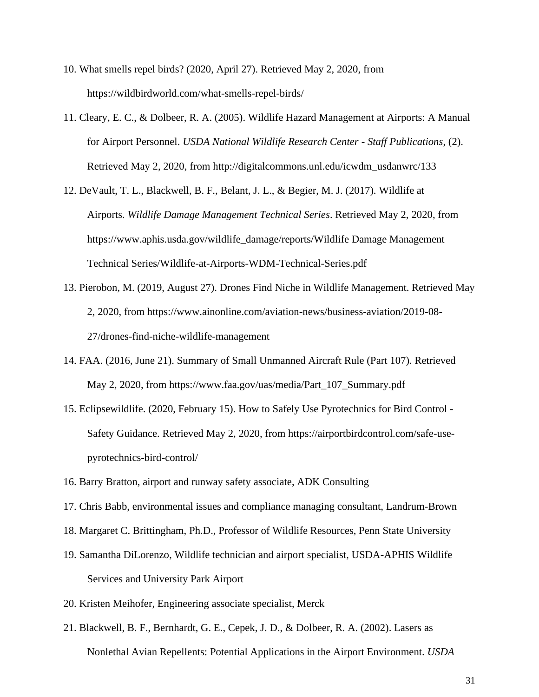- 10. What smells repel birds? (2020, April 27). Retrieved May 2, 2020, from https://wildbirdworld.com/what-smells-repel-birds/
- 11. Cleary, E. C., & Dolbeer, R. A. (2005). Wildlife Hazard Management at Airports: A Manual for Airport Personnel. *USDA National Wildlife Research Center - Staff Publications*, (2). Retrieved May 2, 2020, from http://digitalcommons.unl.edu/icwdm\_usdanwrc/133
- 12. DeVault, T. L., Blackwell, B. F., Belant, J. L., & Begier, M. J. (2017). Wildlife at Airports. *Wildlife Damage Management Technical Series*. Retrieved May 2, 2020, from https://www.aphis.usda.gov/wildlife\_damage/reports/Wildlife Damage Management Technical Series/Wildlife-at-Airports-WDM-Technical-Series.pdf
- 13. Pierobon, M. (2019, August 27). Drones Find Niche in Wildlife Management. Retrieved May 2, 2020, from https://www.ainonline.com/aviation-news/business-aviation/2019-08- 27/drones-find-niche-wildlife-management
- 14. FAA. (2016, June 21). Summary of Small Unmanned Aircraft Rule (Part 107). Retrieved May 2, 2020, from https://www.faa.gov/uas/media/Part\_107\_Summary.pdf
- 15. Eclipsewildlife. (2020, February 15). How to Safely Use Pyrotechnics for Bird Control Safety Guidance. Retrieved May 2, 2020, from https://airportbirdcontrol.com/safe-usepyrotechnics-bird-control/
- 16. Barry Bratton, airport and runway safety associate, ADK Consulting
- 17. Chris Babb, environmental issues and compliance managing consultant, Landrum-Brown
- 18. Margaret C. Brittingham, Ph.D., Professor of Wildlife Resources, Penn State University
- 19. Samantha DiLorenzo, Wildlife technician and airport specialist, USDA-APHIS Wildlife Services and University Park Airport
- 20. Kristen Meihofer, Engineering associate specialist, Merck
- 21. Blackwell, B. F., Bernhardt, G. E., Cepek, J. D., & Dolbeer, R. A. (2002). Lasers as Nonlethal Avian Repellents: Potential Applications in the Airport Environment. *USDA*

31